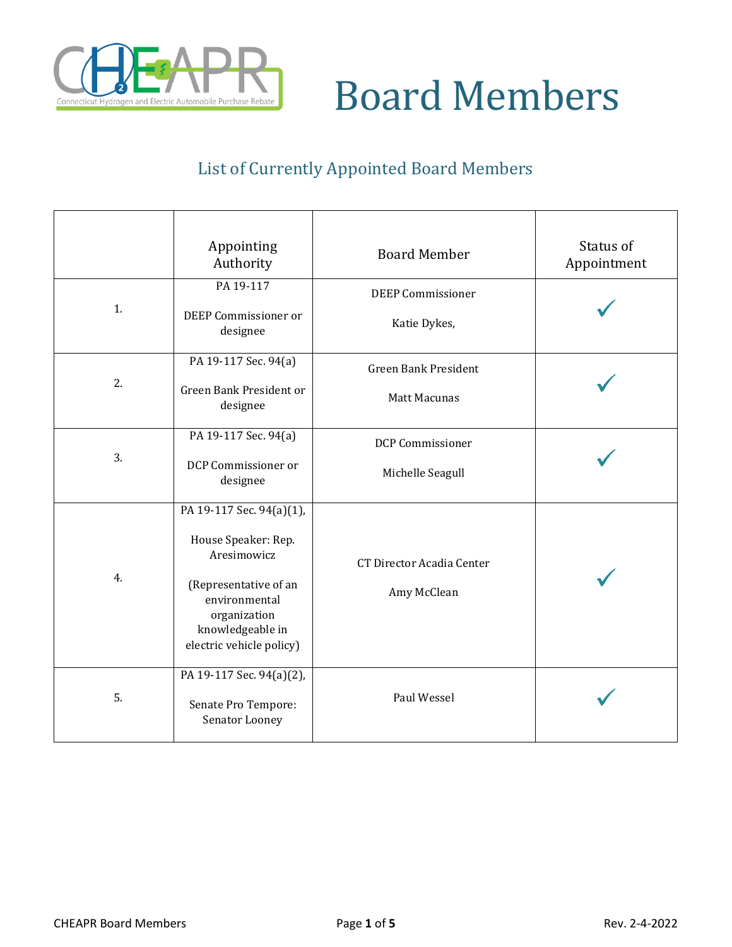

#### List of Currently Appointed Board Members

|    | Appointing<br>Authority                                                                                                                                                  | <b>Board Member</b>                                | Status of<br>Appointment |
|----|--------------------------------------------------------------------------------------------------------------------------------------------------------------------------|----------------------------------------------------|--------------------------|
| 1. | PA 19-117<br>DEEP Commissioner or<br>designee                                                                                                                            | <b>DEEP Commissioner</b><br>Katie Dykes,           |                          |
| 2. | PA 19-117 Sec. 94(a)<br>Green Bank President or<br>designee                                                                                                              | <b>Green Bank President</b><br><b>Matt Macunas</b> |                          |
| 3. | PA 19-117 Sec. 94(a)<br>DCP Commissioner or<br>designee                                                                                                                  | <b>DCP Commissioner</b><br>Michelle Seagull        |                          |
| 4. | PA 19-117 Sec. 94(a)(1),<br>House Speaker: Rep.<br>Aresimowicz<br>(Representative of an<br>environmental<br>organization<br>knowledgeable in<br>electric vehicle policy) | <b>CT Director Acadia Center</b><br>Amy McClean    |                          |
| 5. | PA 19-117 Sec. 94(a)(2),<br>Senate Pro Tempore:<br>Senator Looney                                                                                                        | Paul Wessel                                        |                          |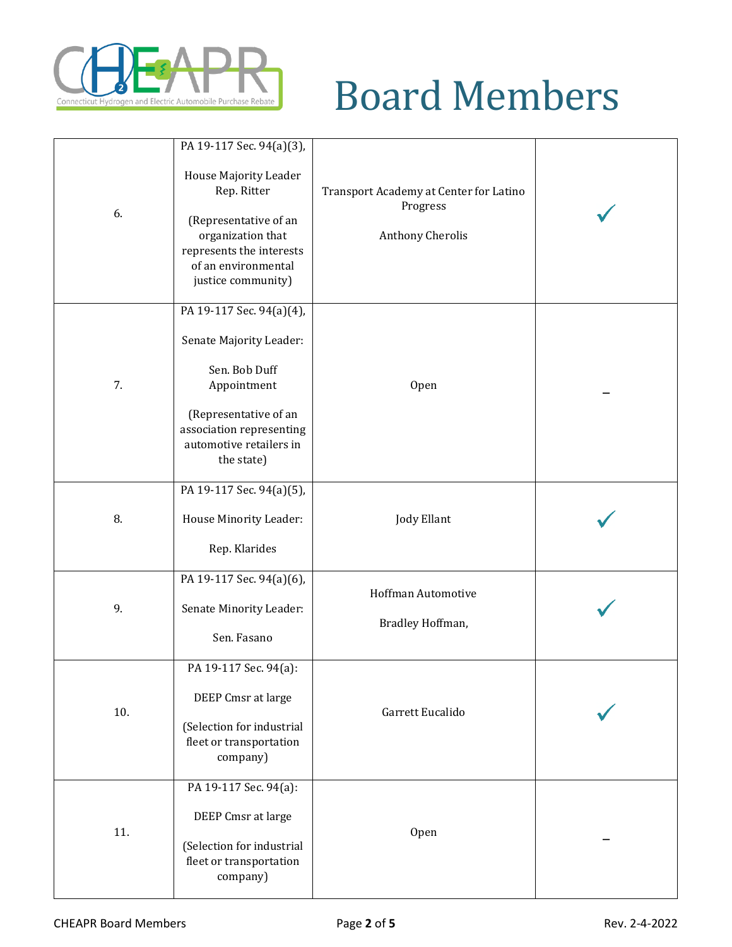

|     | PA 19-117 Sec. 94(a)(3),                                                                                                                                                          |                                                                        |  |
|-----|-----------------------------------------------------------------------------------------------------------------------------------------------------------------------------------|------------------------------------------------------------------------|--|
| 6.  | House Majority Leader<br>Rep. Ritter<br>(Representative of an<br>organization that<br>represents the interests<br>of an environmental<br>justice community)                       | Transport Academy at Center for Latino<br>Progress<br>Anthony Cherolis |  |
| 7.  | PA 19-117 Sec. 94(a)(4),<br>Senate Majority Leader:<br>Sen. Bob Duff<br>Appointment<br>(Representative of an<br>association representing<br>automotive retailers in<br>the state) | Open                                                                   |  |
| 8.  | PA 19-117 Sec. 94(a)(5),<br>House Minority Leader:<br>Rep. Klarides                                                                                                               | <b>Jody Ellant</b>                                                     |  |
| 9.  | PA 19-117 Sec. 94(a)(6),<br>Senate Minority Leader:<br>Sen. Fasano                                                                                                                | Hoffman Automotive<br>Bradley Hoffman,                                 |  |
| 10. | PA 19-117 Sec. 94(a):<br>DEEP Cmsr at large<br>(Selection for industrial<br>fleet or transportation<br>company)                                                                   | Garrett Eucalido                                                       |  |
| 11. | PA 19-117 Sec. 94(a):<br>DEEP Cmsr at large<br>(Selection for industrial<br>fleet or transportation<br>company)                                                                   | Open                                                                   |  |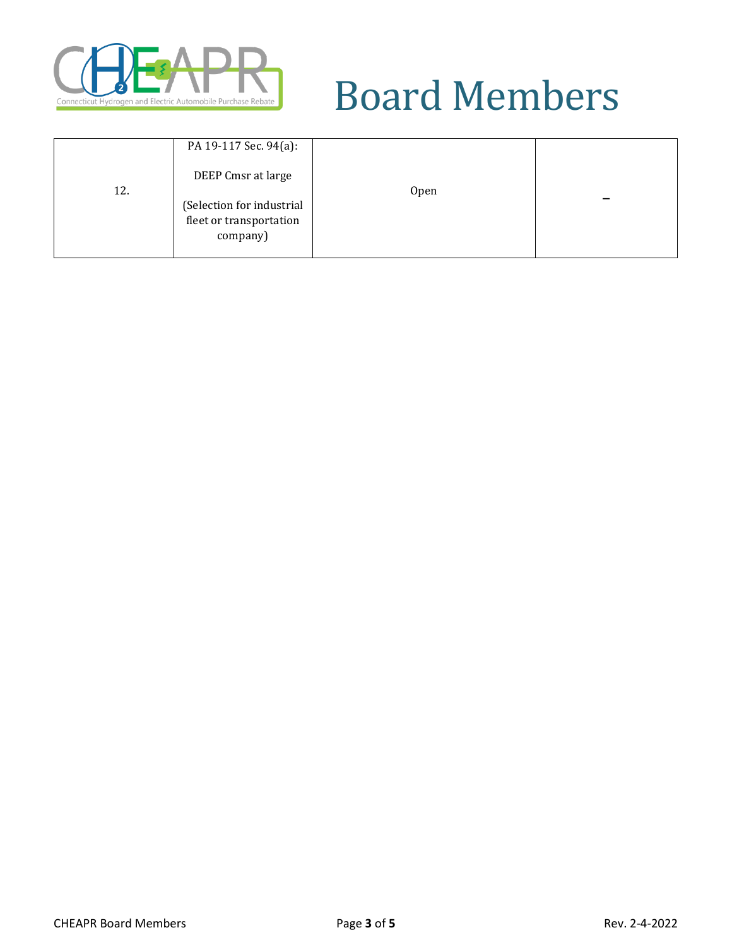

| 12. | PA 19-117 Sec. 94(a):<br>DEEP Cmsr at large<br>(Selection for industrial<br>fleet or transportation<br>company) | Open |  |
|-----|-----------------------------------------------------------------------------------------------------------------|------|--|
|-----|-----------------------------------------------------------------------------------------------------------------|------|--|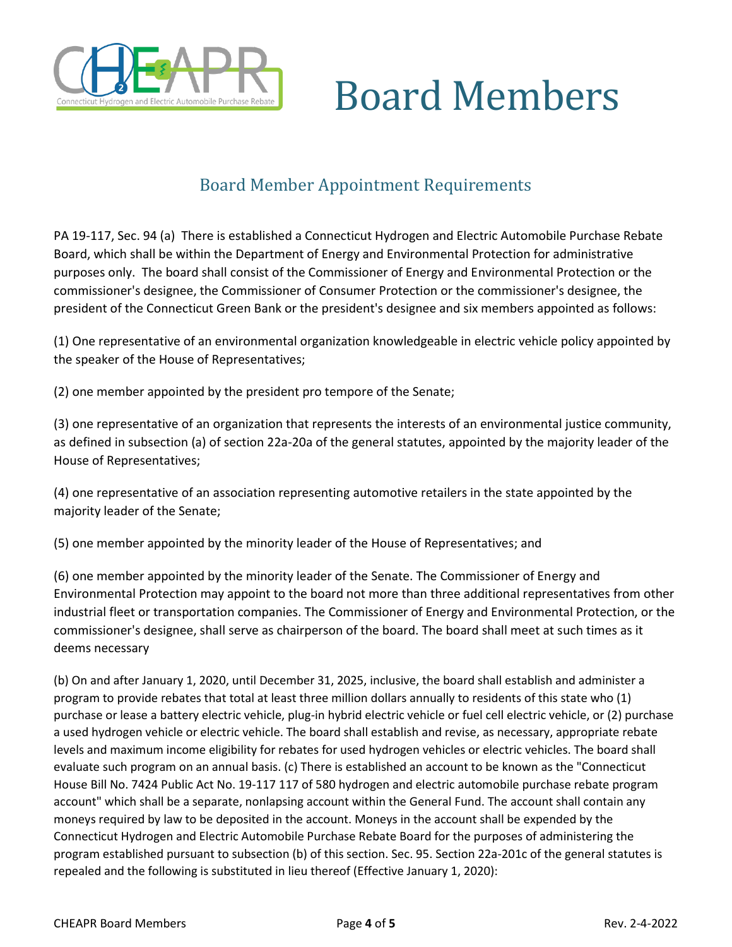

#### Board Member Appointment Requirements

PA 19-117, Sec. 94 (a) There is established a Connecticut Hydrogen and Electric Automobile Purchase Rebate Board, which shall be within the Department of Energy and Environmental Protection for administrative purposes only. The board shall consist of the Commissioner of Energy and Environmental Protection or the commissioner's designee, the Commissioner of Consumer Protection or the commissioner's designee, the president of the Connecticut Green Bank or the president's designee and six members appointed as follows:

(1) One representative of an environmental organization knowledgeable in electric vehicle policy appointed by the speaker of the House of Representatives;

(2) one member appointed by the president pro tempore of the Senate;

(3) one representative of an organization that represents the interests of an environmental justice community, as defined in subsection (a) of section 22a-20a of the general statutes, appointed by the majority leader of the House of Representatives;

(4) one representative of an association representing automotive retailers in the state appointed by the majority leader of the Senate;

(5) one member appointed by the minority leader of the House of Representatives; and

(6) one member appointed by the minority leader of the Senate. The Commissioner of Energy and Environmental Protection may appoint to the board not more than three additional representatives from other industrial fleet or transportation companies. The Commissioner of Energy and Environmental Protection, or the commissioner's designee, shall serve as chairperson of the board. The board shall meet at such times as it deems necessary

(b) On and after January 1, 2020, until December 31, 2025, inclusive, the board shall establish and administer a program to provide rebates that total at least three million dollars annually to residents of this state who (1) purchase or lease a battery electric vehicle, plug-in hybrid electric vehicle or fuel cell electric vehicle, or (2) purchase a used hydrogen vehicle or electric vehicle. The board shall establish and revise, as necessary, appropriate rebate levels and maximum income eligibility for rebates for used hydrogen vehicles or electric vehicles. The board shall evaluate such program on an annual basis. (c) There is established an account to be known as the "Connecticut House Bill No. 7424 Public Act No. 19-117 117 of 580 hydrogen and electric automobile purchase rebate program account" which shall be a separate, nonlapsing account within the General Fund. The account shall contain any moneys required by law to be deposited in the account. Moneys in the account shall be expended by the Connecticut Hydrogen and Electric Automobile Purchase Rebate Board for the purposes of administering the program established pursuant to subsection (b) of this section. Sec. 95. Section 22a-201c of the general statutes is repealed and the following is substituted in lieu thereof (Effective January 1, 2020):